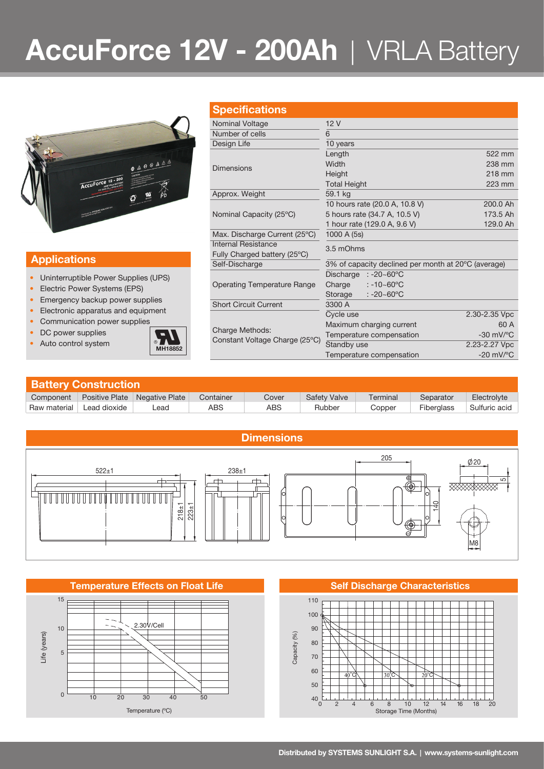# **AccuForce 12V - 200Ah** | VRLA Battery



## **Specifications**

| 12V<br>Nominal Voltage<br>Number of cells<br>6                         |                                                     |  |  |  |  |
|------------------------------------------------------------------------|-----------------------------------------------------|--|--|--|--|
|                                                                        |                                                     |  |  |  |  |
|                                                                        |                                                     |  |  |  |  |
| Design Life<br>10 years                                                |                                                     |  |  |  |  |
| Length                                                                 | 522 mm                                              |  |  |  |  |
| Width<br><b>Dimensions</b>                                             | 238 mm                                              |  |  |  |  |
| Height                                                                 | 218 mm                                              |  |  |  |  |
| <b>Total Height</b>                                                    | 223 mm                                              |  |  |  |  |
| 59.1 kg<br>Approx. Weight                                              |                                                     |  |  |  |  |
| 10 hours rate (20.0 A, 10.8 V)                                         | 200.0 Ah                                            |  |  |  |  |
| Nominal Capacity (25°C)<br>5 hours rate (34.7 A, 10.5 V)               | 173.5 Ah                                            |  |  |  |  |
| 1 hour rate (129.0 A, 9.6 V)                                           | 129.0 Ah                                            |  |  |  |  |
| 1000 A (5s)<br>Max. Discharge Current (25°C)                           |                                                     |  |  |  |  |
| Internal Resistance<br>3.5 mOhms                                       |                                                     |  |  |  |  |
| Fully Charged battery (25°C)                                           |                                                     |  |  |  |  |
| Self-Discharge                                                         | 3% of capacity declined per month at 20°C (average) |  |  |  |  |
| Discharge<br>$: -20 - 60^{\circ}$ C                                    |                                                     |  |  |  |  |
| Charge<br>$: -10 - 60^{\circ}$ C<br><b>Operating Temperature Range</b> |                                                     |  |  |  |  |
| : $-20 - 60^{\circ}$ C<br>Storage                                      |                                                     |  |  |  |  |
| <b>Short Circuit Current</b><br>3300 A                                 |                                                     |  |  |  |  |
| Cycle use                                                              | 2.30-2.35 Vpc                                       |  |  |  |  |
| Maximum charging current<br>Charge Methods:                            | 60 A                                                |  |  |  |  |
| Temperature compensation<br>Constant Voltage Charge (25°C)             | $-30$ mV/ $\mathrm{^{\circ}C}$                      |  |  |  |  |
| Standby use                                                            | 2.23-2.27 Vpc                                       |  |  |  |  |
| Temperature compensation                                               | $-20$ mV/ $\mathrm{^{\circ}C}$                      |  |  |  |  |

## **Applications**

- Uninterruptible Power Supplies (UPS)
- Electric Power Systems (EPS)
- Emergency backup power supplies
- Electronic apparatus and equipment Communication power supplies
- 
- DC power supplies
- 



| <b>Battery Construction</b> |                       |                |           |       |                     |          |                   |               |  |
|-----------------------------|-----------------------|----------------|-----------|-------|---------------------|----------|-------------------|---------------|--|
| Component                   | <b>Positive Plate</b> | Negative Plate | Container | Cover | <b>Safety Valve</b> | Terminal | Separator         | Electrolyte   |  |
| Raw material                | Lead dioxide          | _ead           | ABS       | ABS   | Rubber              | Copper   | <b>Fiberglass</b> | Sulfuric acid |  |



### **Temperature Effects on Float Life Self Discharge Characteristics**